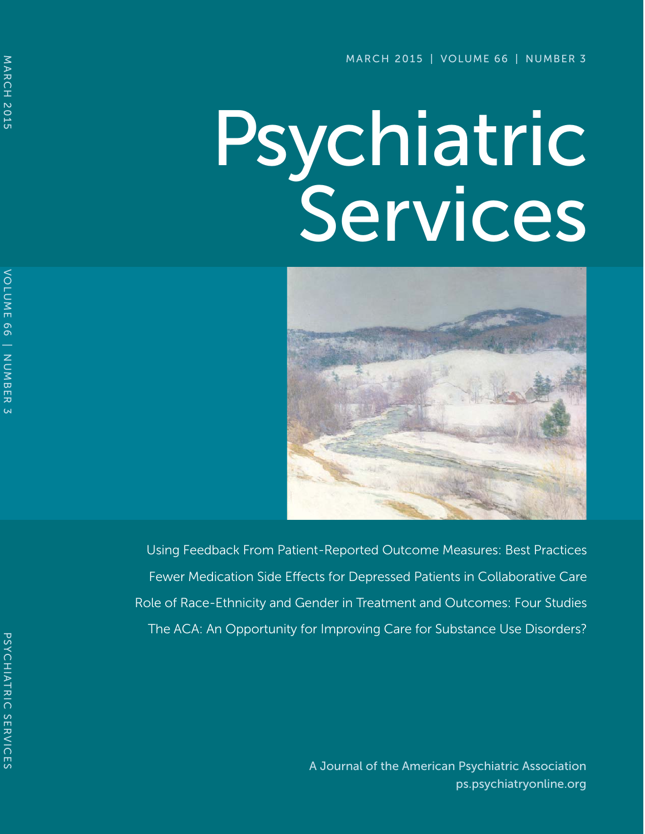# Psychiatric Services



Using Feedback From Patient-Reported Outcome Measures: Best Practices Fewer Medication Side Effects for Depressed Patients in Collaborative Care Role of Race-Ethnicity and Gender in Treatment and Outcomes: Four Studies The ACA: An Opportunity for Improving Care for Substance Use Disorders?

> A Journal of the American Psychiatric Association ps.psychiatryonline.org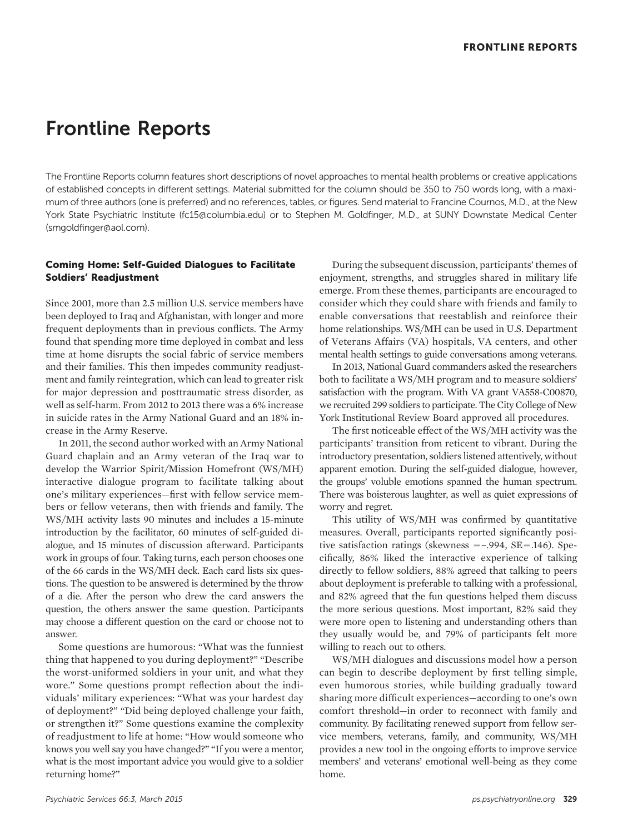## Frontline Reports

The Frontline Reports column features short descriptions of novel approaches to mental health problems or creative applications of established concepts in different settings. Material submitted for the column should be 350 to 750 words long, with a maximum of three authors (one is preferred) and no references, tables, or figures. Send material to Francine Cournos, M.D., at the New York State Psychiatric Institute (fc15@columbia.edu) or to Stephen M. Goldfinger, M.D., at SUNY Downstate Medical Center (smgoldfinger@aol.com).

### Coming Home: Self-Guided Dialogues to Facilitate Soldiers' Readjustment

Since 2001, more than 2.5 million U.S. service members have been deployed to Iraq and Afghanistan, with longer and more frequent deployments than in previous conflicts. The Army found that spending more time deployed in combat and less time at home disrupts the social fabric of service members and their families. This then impedes community readjustment and family reintegration, which can lead to greater risk for major depression and posttraumatic stress disorder, as well as self-harm. From 2012 to 2013 there was a 6% increase in suicide rates in the Army National Guard and an 18% increase in the Army Reserve.

In 2011, the second author worked with an Army National Guard chaplain and an Army veteran of the Iraq war to develop the Warrior Spirit/Mission Homefront (WS/MH) interactive dialogue program to facilitate talking about one's military experiences—first with fellow service members or fellow veterans, then with friends and family. The WS/MH activity lasts 90 minutes and includes a 15-minute introduction by the facilitator, 60 minutes of self-guided dialogue, and 15 minutes of discussion afterward. Participants work in groups of four. Taking turns, each person chooses one of the 66 cards in the WS/MH deck. Each card lists six questions. The question to be answered is determined by the throw of a die. After the person who drew the card answers the question, the others answer the same question. Participants may choose a different question on the card or choose not to answer.

Some questions are humorous: "What was the funniest thing that happened to you during deployment?" "Describe the worst-uniformed soldiers in your unit, and what they wore." Some questions prompt reflection about the individuals' military experiences: "What was your hardest day of deployment?" "Did being deployed challenge your faith, or strengthen it?" Some questions examine the complexity of readjustment to life at home: "How would someone who knows you well say you have changed?" "If you were a mentor, what is the most important advice you would give to a soldier returning home?"

During the subsequent discussion, participants' themes of enjoyment, strengths, and struggles shared in military life emerge. From these themes, participants are encouraged to consider which they could share with friends and family to enable conversations that reestablish and reinforce their home relationships. WS/MH can be used in U.S. Department of Veterans Affairs (VA) hospitals, VA centers, and other mental health settings to guide conversations among veterans.

In 2013, National Guard commanders asked the researchers both to facilitate a WS/MH program and to measure soldiers' satisfaction with the program. With VA grant VA558-C00870, we recruited 299 soldiers to participate. The City College of New York Institutional Review Board approved all procedures.

The first noticeable effect of the WS/MH activity was the participants' transition from reticent to vibrant. During the introductory presentation, soldiers listened attentively, without apparent emotion. During the self-guided dialogue, however, the groups' voluble emotions spanned the human spectrum. There was boisterous laughter, as well as quiet expressions of worry and regret.

This utility of WS/MH was confirmed by quantitative measures. Overall, participants reported significantly positive satisfaction ratings (skewness  $=-.994$ , SE=.146). Specifically, 86% liked the interactive experience of talking directly to fellow soldiers, 88% agreed that talking to peers about deployment is preferable to talking with a professional, and 82% agreed that the fun questions helped them discuss the more serious questions. Most important, 82% said they were more open to listening and understanding others than they usually would be, and 79% of participants felt more willing to reach out to others.

WS/MH dialogues and discussions model how a person can begin to describe deployment by first telling simple, even humorous stories, while building gradually toward sharing more difficult experiences—according to one's own comfort threshold—in order to reconnect with family and community. By facilitating renewed support from fellow service members, veterans, family, and community, WS/MH provides a new tool in the ongoing efforts to improve service members' and veterans' emotional well-being as they come home.